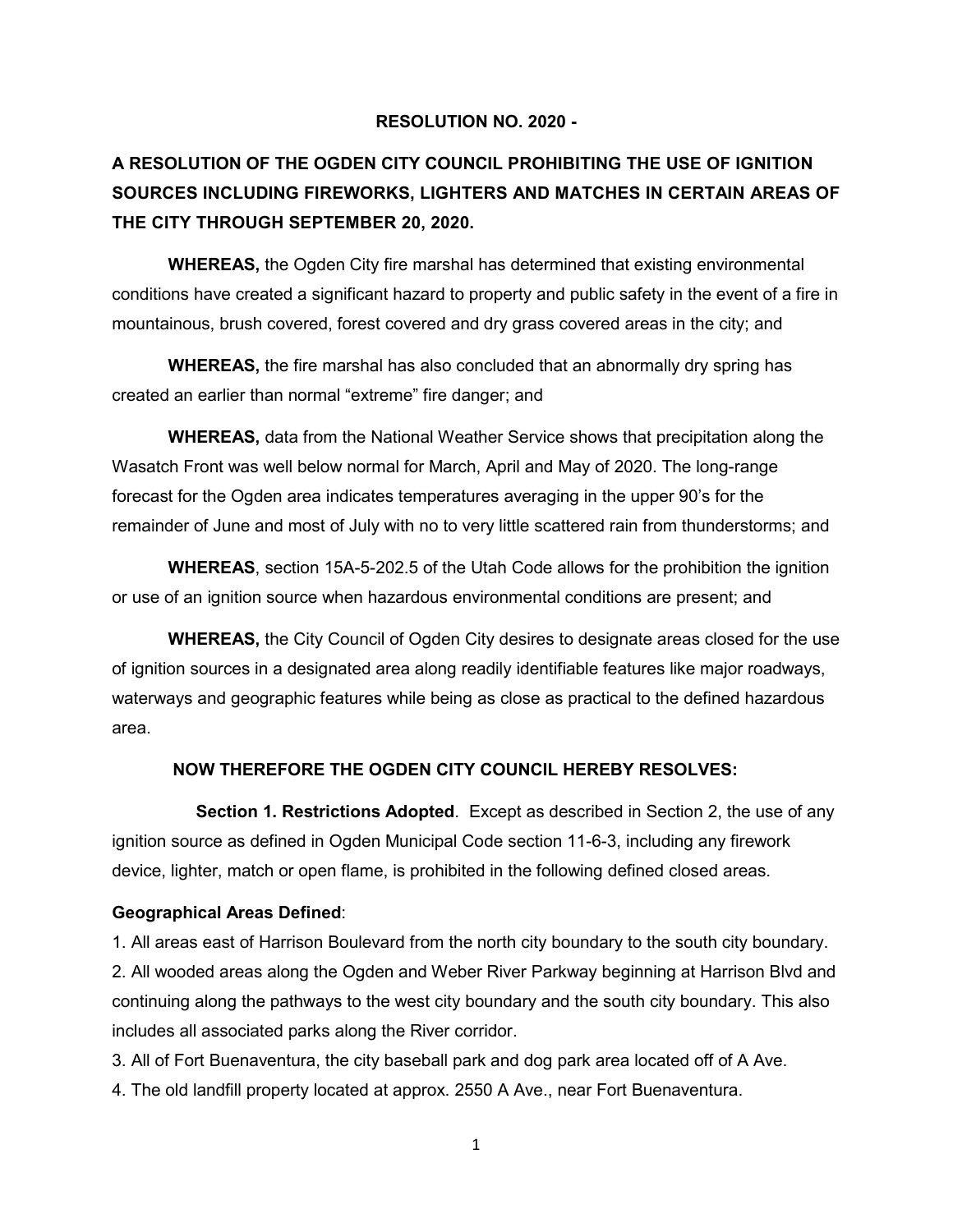## **RESOLUTION NO. 2020 -**

## **A RESOLUTION OF THE OGDEN CITY COUNCIL PROHIBITING THE USE OF IGNITION SOURCES INCLUDING FIREWORKS, LIGHTERS AND MATCHES IN CERTAIN AREAS OF THE CITY THROUGH SEPTEMBER 20, 2020.**

**WHEREAS,** the Ogden City fire marshal has determined that existing environmental conditions have created a significant hazard to property and public safety in the event of a fire in mountainous, brush covered, forest covered and dry grass covered areas in the city; and

**WHEREAS,** the fire marshal has also concluded that an abnormally dry spring has created an earlier than normal "extreme" fire danger; and

**WHEREAS,** data from the National Weather Service shows that precipitation along the Wasatch Front was well below normal for March, April and May of 2020. The long-range forecast for the Ogden area indicates temperatures averaging in the upper 90's for the remainder of June and most of July with no to very little scattered rain from thunderstorms; and

**WHEREAS**, section 15A-5-202.5 of the Utah Code allows for the prohibition the ignition or use of an ignition source when hazardous environmental conditions are present; and

**WHEREAS,** the City Council of Ogden City desires to designate areas closed for the use of ignition sources in a designated area along readily identifiable features like major roadways, waterways and geographic features while being as close as practical to the defined hazardous area.

## **NOW THEREFORE THE OGDEN CITY COUNCIL HEREBY RESOLVES:**

**Section 1. Restrictions Adopted**. Except as described in Section 2, the use of any ignition source as defined in Ogden Municipal Code section 11-6-3, including any firework device, lighter, match or open flame, is prohibited in the following defined closed areas.

## **Geographical Areas Defined**:

1. All areas east of Harrison Boulevard from the north city boundary to the south city boundary. 2. All wooded areas along the Ogden and Weber River Parkway beginning at Harrison Blvd and continuing along the pathways to the west city boundary and the south city boundary. This also includes all associated parks along the River corridor.

3. All of Fort Buenaventura, the city baseball park and dog park area located off of A Ave.

4. The old landfill property located at approx. 2550 A Ave., near Fort Buenaventura.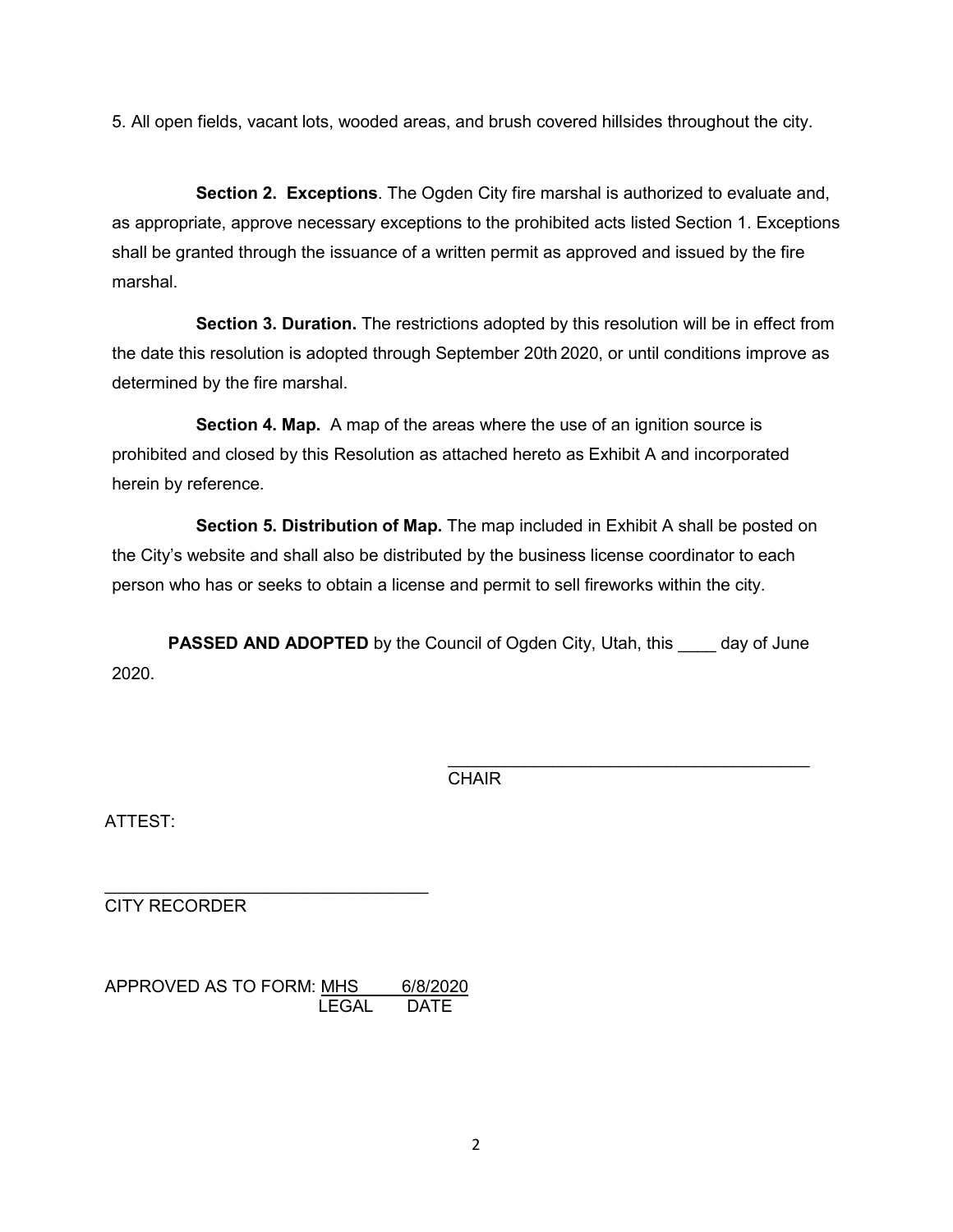5. All open fields, vacant lots, wooded areas, and brush covered hillsides throughout the city.

**Section 2. Exceptions**. The Ogden City fire marshal is authorized to evaluate and, as appropriate, approve necessary exceptions to the prohibited acts listed Section 1. Exceptions shall be granted through the issuance of a written permit as approved and issued by the fire marshal.

**Section 3. Duration.** The restrictions adopted by this resolution will be in effect from the date this resolution is adopted through September 20th 2020, or until conditions improve as determined by the fire marshal.

**Section 4. Map.** A map of the areas where the use of an ignition source is prohibited and closed by this Resolution as attached hereto as Exhibit A and incorporated herein by reference.

**Section 5. Distribution of Map.** The map included in Exhibit A shall be posted on the City's website and shall also be distributed by the business license coordinator to each person who has or seeks to obtain a license and permit to sell fireworks within the city.

**PASSED AND ADOPTED** by the Council of Ogden City, Utah, this day of June 2020.

> \_\_\_\_\_\_\_\_\_\_\_\_\_\_\_\_\_\_\_\_\_\_\_\_\_\_\_\_\_\_\_\_\_\_\_\_\_\_ **CHAIR**

ATTEST:

CITY RECORDER

APPROVED AS TO FORM: MHS 6/8/2020 LEGAL DATE

\_\_\_\_\_\_\_\_\_\_\_\_\_\_\_\_\_\_\_\_\_\_\_\_\_\_\_\_\_\_\_\_\_\_